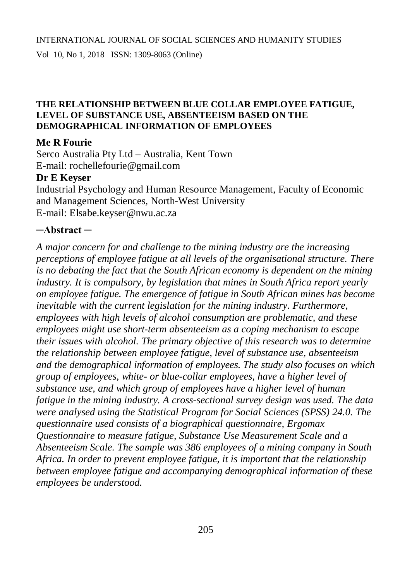Vol 10, No 1, 2018 ISSN: 1309-8063 (Online)

#### **THE RELATIONSHIP BETWEEN BLUE COLLAR EMPLOYEE FATIGUE, LEVEL OF SUBSTANCE USE, ABSENTEEISM BASED ON THE DEMOGRAPHICAL INFORMATION OF EMPLOYEES**

#### **Me R Fourie**

Serco Australia Pty Ltd – Australia, Kent Town E-mail: [rochellefourie@gmail.com](mailto:rochellefourie@gmail.com)

#### **Dr E Keyser**

Industrial Psychology and Human Resource Management, Faculty of Economic and Management Sciences, North-West University E-mail: [Elsabe.keyser@nwu.ac.za](mailto:Elsabe.keyser@nwu.ac.za)

#### **─Abstract ─**

*A major concern for and challenge to the mining industry are the increasing perceptions of employee fatigue at all levels of the organisational structure. There is no debating the fact that the South African economy is dependent on the mining industry. It is compulsory, by legislation that mines in South Africa report yearly on employee fatigue. The emergence of fatigue in South African mines has become inevitable with the current legislation for the mining industry. Furthermore, employees with high levels of alcohol consumption are problematic, and these employees might use short-term absenteeism as a coping mechanism to escape their issues with alcohol. The primary objective of this research was to determine the relationship between employee fatigue, level of substance use, absenteeism and the demographical information of employees. The study also focuses on which group of employees, white- or blue-collar employees, have a higher level of substance use, and which group of employees have a higher level of human fatigue in the mining industry. A cross-sectional survey design was used. The data were analysed using the Statistical Program for Social Sciences (SPSS) 24.0. The questionnaire used consists of a biographical questionnaire, Ergomax Questionnaire to measure fatigue, Substance Use Measurement Scale and a Absenteeism Scale. The sample was 386 employees of a mining company in South Africa. In order to prevent employee fatigue, it is important that the relationship between employee fatigue and accompanying demographical information of these employees be understood.*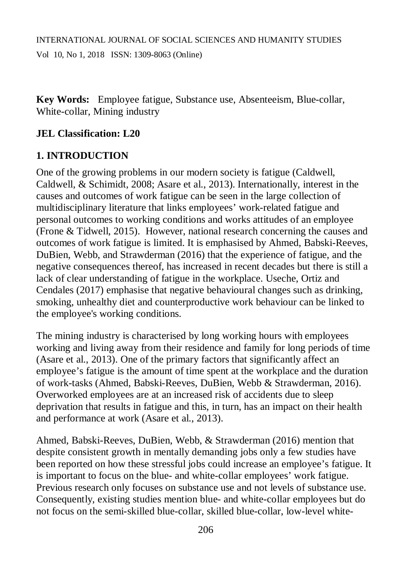**Key Words:** Employee fatigue, Substance use, Absenteeism, Blue-collar, White-collar, Mining industry

### **JEL Classification: L20**

# **1. INTRODUCTION**

One of the growing problems in our modern society is fatigue (Caldwell, Caldwell, & Schimidt, 2008; Asare et al., 2013). Internationally, interest in the causes and outcomes of work fatigue can be seen in the large collection of multidisciplinary literature that links employees' work-related fatigue and personal outcomes to working conditions and works attitudes of an employee (Frone & Tidwell, 2015). However, national research concerning the causes and outcomes of work fatigue is limited. It is emphasised by Ahmed, Babski-Reeves, DuBien, Webb, and Strawderman (2016) that the experience of fatigue, and the negative consequences thereof, has increased in recent decades but there is still a lack of clear understanding of fatigue in the workplace. Useche, Ortiz and Cendales (2017) emphasise that negative behavioural changes such as drinking, smoking, unhealthy diet and counterproductive work behaviour can be linked to the employee's working conditions.

The mining industry is characterised by long working hours with employees working and living away from their residence and family for long periods of time (Asare et al., 2013). One of the primary factors that significantly affect an employee's fatigue is the amount of time spent at the workplace and the duration of work-tasks (Ahmed, Babski-Reeves, DuBien, Webb & Strawderman, 2016). Overworked employees are at an increased risk of accidents due to sleep deprivation that results in fatigue and this, in turn, has an impact on their health and performance at work (Asare et al., 2013).

Ahmed, Babski-Reeves, DuBien, Webb, & Strawderman (2016) mention that despite consistent growth in mentally demanding jobs only a few studies have been reported on how these stressful jobs could increase an employee's fatigue. It is important to focus on the blue- and white-collar employees' work fatigue. Previous research only focuses on substance use and not levels of substance use. Consequently, existing studies mention blue- and white-collar employees but do not focus on the semi-skilled blue-collar, skilled blue-collar, low-level white-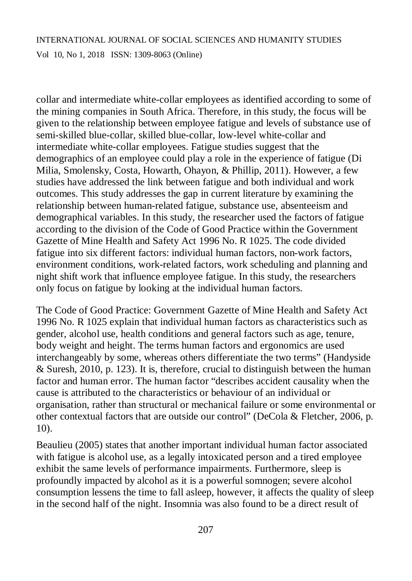Vol 10, No 1, 2018 ISSN: 1309-8063 (Online)

collar and intermediate white-collar employees as identified according to some of the mining companies in South Africa. Therefore, in this study, the focus will be given to the relationship between employee fatigue and levels of substance use of semi-skilled blue-collar, skilled blue-collar, low-level white-collar and intermediate white-collar employees. Fatigue studies suggest that the demographics of an employee could play a role in the experience of fatigue (Di Milia, Smolensky, Costa, Howarth, Ohayon, & Phillip, 2011). However, a few studies have addressed the link between fatigue and both individual and work outcomes. This study addresses the gap in current literature by examining the relationship between human-related fatigue, substance use, absenteeism and demographical variables. In this study, the researcher used the factors of fatigue according to the division of the Code of Good Practice within the Government Gazette of Mine Health and Safety Act 1996 No. R 1025. The code divided fatigue into six different factors: individual human factors, non-work factors, environment conditions, work-related factors, work scheduling and planning and night shift work that influence employee fatigue. In this study, the researchers only focus on fatigue by looking at the individual human factors.

The Code of Good Practice: Government Gazette of Mine Health and Safety Act 1996 No. R 1025 explain that individual human factors as characteristics such as gender, alcohol use, health conditions and general factors such as age, tenure, body weight and height. The terms human factors and ergonomics are used interchangeably by some, whereas others differentiate the two terms" (Handyside & Suresh, 2010, p. 123). It is, therefore, crucial to distinguish between the human factor and human error. The human factor "describes accident causality when the cause is attributed to the characteristics or behaviour of an individual or organisation, rather than structural or mechanical failure or some environmental or other contextual factors that are outside our control" (DeCola & Fletcher, 2006, p. 10).

Beaulieu (2005) states that another important individual human factor associated with fatigue is alcohol use, as a legally intoxicated person and a tired employee exhibit the same levels of performance impairments. Furthermore, sleep is profoundly impacted by alcohol as it is a powerful somnogen; severe alcohol consumption lessens the time to fall asleep, however, it affects the quality of sleep in the second half of the night. Insomnia was also found to be a direct result of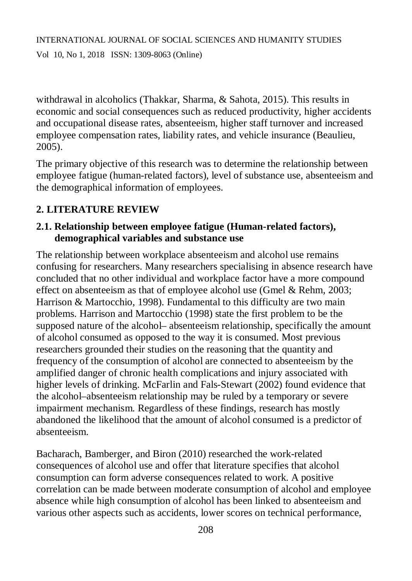withdrawal in alcoholics (Thakkar, Sharma, & Sahota, 2015). This results in economic and social consequences such as reduced productivity, higher accidents and occupational disease rates, absenteeism, higher staff turnover and increased employee compensation rates, liability rates, and vehicle insurance (Beaulieu, 2005).

The primary objective of this research was to determine the relationship between employee fatigue (human-related factors), level of substance use, absenteeism and the demographical information of employees.

# **2. LITERATURE REVIEW**

### **2.1. Relationship between employee fatigue (Human-related factors), demographical variables and substance use**

The relationship between workplace absenteeism and alcohol use remains confusing for researchers. Many researchers specialising in absence research have concluded that no other individual and workplace factor have a more compound effect on absenteeism as that of employee alcohol use (Gmel & Rehm, 2003; Harrison & Martocchio, 1998). Fundamental to this difficulty are two main problems. Harrison and Martocchio (1998) state the first problem to be the supposed nature of the alcohol– absenteeism relationship, specifically the amount of alcohol consumed as opposed to the way it is consumed. Most previous researchers grounded their studies on the reasoning that the quantity and frequency of the consumption of alcohol are connected to absenteeism by the amplified danger of chronic health complications and injury associated with higher levels of drinking. McFarlin and Fals-Stewart (2002) found evidence that the alcohol–absenteeism relationship may be ruled by a temporary or severe impairment mechanism. Regardless of these findings, research has mostly abandoned the likelihood that the amount of alcohol consumed is a predictor of absenteeism.

Bacharach, Bamberger, and Biron (2010) researched the work-related consequences of alcohol use and offer that literature specifies that alcohol consumption can form adverse consequences related to work. A positive correlation can be made between moderate consumption of alcohol and employee absence while high consumption of alcohol has been linked to absenteeism and various other aspects such as accidents, lower scores on technical performance,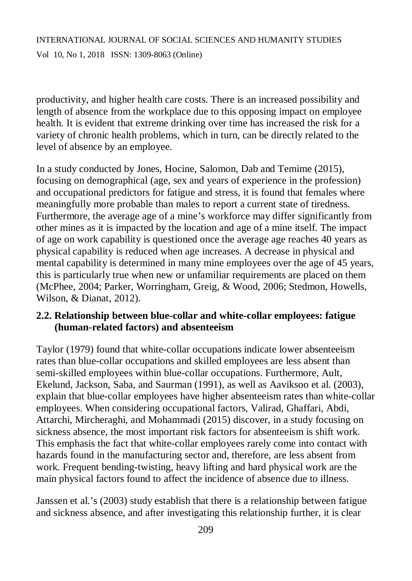productivity, and higher health care costs. There is an increased possibility and length of absence from the workplace due to this opposing impact on employee health. It is evident that extreme drinking over time has increased the risk for a variety of chronic health problems, which in turn, can be directly related to the level of absence by an employee.

In a study conducted by Jones, Hocine, Salomon, Dab and Temime (2015), focusing on demographical (age, sex and years of experience in the profession) and occupational predictors for fatigue and stress, it is found that females where meaningfully more probable than males to report a current state of tiredness. Furthermore, the average age of a mine's workforce may differ significantly from other mines as it is impacted by the location and age of a mine itself. The impact of age on work capability is questioned once the average age reaches 40 years as physical capability is reduced when age increases. A decrease in physical and mental capability is determined in many mine employees over the age of 45 years, this is particularly true when new or unfamiliar requirements are placed on them (McPhee, 2004; Parker, Worringham, Greig, & Wood, 2006; Stedmon, Howells, Wilson, & Dianat, 2012).

#### **2.2. Relationship between blue-collar and white-collar employees: fatigue (human-related factors) and absenteeism**

Taylor (1979) found that white-collar occupations indicate lower absenteeism rates than blue-collar occupations and skilled employees are less absent than semi-skilled employees within blue-collar occupations. Furthermore, Ault, Ekelund, Jackson, Saba, and Saurman (1991), as well as Aaviksoo et al. (2003), explain that blue-collar employees have higher absenteeism rates than white-collar employees. When considering occupational factors, Valirad, Ghaffari, Abdi, Attarchi, Mircheraghi, and Mohammadi (2015) discover, in a study focusing on sickness absence, the most important risk factors for absenteeism is shift work. This emphasis the fact that white-collar employees rarely come into contact with hazards found in the manufacturing sector and, therefore, are less absent from work. Frequent bending-twisting, heavy lifting and hard physical work are the main physical factors found to affect the incidence of absence due to illness.

Janssen et al.'s (2003) study establish that there is a relationship between fatigue and sickness absence, and after investigating this relationship further, it is clear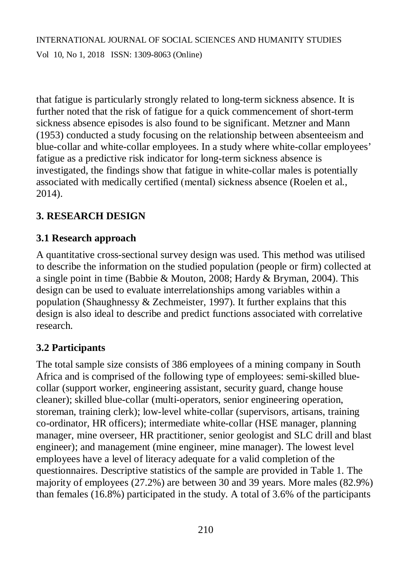that fatigue is particularly strongly related to long-term sickness absence. It is further noted that the risk of fatigue for a quick commencement of short-term sickness absence episodes is also found to be significant. Metzner and Mann (1953) conducted a study focusing on the relationship between absenteeism and blue-collar and white-collar employees. In a study where white-collar employees' fatigue as a predictive risk indicator for long-term sickness absence is investigated, the findings show that fatigue in white-collar males is potentially associated with medically certified (mental) sickness absence (Roelen et al., 2014).

# **3. RESEARCH DESIGN**

# **3.1 Research approach**

A quantitative cross-sectional survey design was used. This method was utilised to describe the information on the studied population (people or firm) collected at a single point in time (Babbie & Mouton, 2008; Hardy & Bryman, 2004). This design can be used to evaluate interrelationships among variables within a population (Shaughnessy & Zechmeister, 1997). It further explains that this design is also ideal to describe and predict functions associated with correlative research.

# **3.2 Participants**

The total sample size consists of 386 employees of a mining company in South Africa and is comprised of the following type of employees: semi-skilled bluecollar (support worker, engineering assistant, security guard, change house cleaner); skilled blue-collar (multi-operators, senior engineering operation, storeman, training clerk); low-level white-collar (supervisors, artisans, training co-ordinator, HR officers); intermediate white-collar (HSE manager, planning manager, mine overseer, HR practitioner, senior geologist and SLC drill and blast engineer); and management (mine engineer, mine manager). The lowest level employees have a level of literacy adequate for a valid completion of the questionnaires. Descriptive statistics of the sample are provided in Table 1. The majority of employees (27.2%) are between 30 and 39 years. More males (82.9%) than females (16.8%) participated in the study. A total of 3.6% of the participants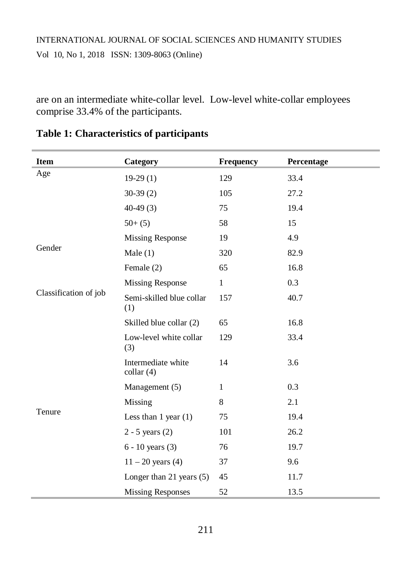are on an intermediate white-collar level. Low-level white-collar employees comprise 33.4% of the participants.

| <b>Item</b>           | Category                                 | Frequency    | Percentage |
|-----------------------|------------------------------------------|--------------|------------|
| Age                   | $19-29(1)$                               | 129          | 33.4       |
|                       | $30-39(2)$                               | 105          | 27.2       |
|                       | $40-49(3)$                               | 75           | 19.4       |
|                       | $50+ (5)$                                | 58           | 15         |
|                       | <b>Missing Response</b>                  | 19           | 4.9        |
| Gender                | Male $(1)$                               | 320          | 82.9       |
|                       | Female (2)                               | 65           | 16.8       |
|                       | <b>Missing Response</b>                  | $\mathbf{1}$ | 0.3        |
| Classification of job | Semi-skilled blue collar<br>(1)          | 157          | 40.7       |
|                       | Skilled blue collar (2)                  | 65           | 16.8       |
|                       | Low-level white collar<br>(3)            | 129          | 33.4       |
|                       | Intermediate white<br>$\text{collar}(4)$ | 14           | 3.6        |
|                       | Management (5)                           | $\mathbf{1}$ | 0.3        |
|                       | Missing                                  | 8            | 2.1        |
| Tenure                | Less than $1$ year $(1)$                 | 75           | 19.4       |
|                       | $2 - 5$ years $(2)$                      | 101          | 26.2       |
|                       | $6 - 10$ years $(3)$                     | 76           | 19.7       |
|                       | $11 - 20$ years (4)                      | 37           | 9.6        |
|                       | Longer than 21 years $(5)$               | 45           | 11.7       |
|                       | <b>Missing Responses</b>                 | 52           | 13.5       |

# **Table 1: Characteristics of participants**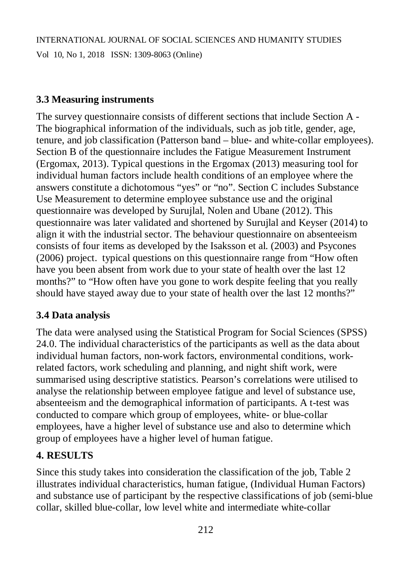Vol 10, No 1, 2018 ISSN: 1309-8063 (Online)

### **3.3 Measuring instruments**

The survey questionnaire consists of different sections that include Section A - The biographical information of the individuals, such as job title, gender, age, tenure, and job classification (Patterson band – blue- and white-collar employees). Section B of the questionnaire includes the Fatigue Measurement Instrument (Ergomax, 2013). Typical questions in the Ergomax (2013) measuring tool for individual human factors include health conditions of an employee where the answers constitute a dichotomous "yes" or "no". Section C includes Substance Use Measurement to determine employee substance use and the original questionnaire was developed by Surujlal, Nolen and Ubane (2012). This questionnaire was later validated and shortened by Surujlal and Keyser (2014) to align it with the industrial sector. The behaviour questionnaire on absenteeism consists of four items as developed by the Isaksson et al. (2003) and Psycones (2006) project. typical questions on this questionnaire range from "How often have you been absent from work due to your state of health over the last 12 months?" to "How often have you gone to work despite feeling that you really should have stayed away due to your state of health over the last 12 months?"

# **3.4 Data analysis**

The data were analysed using the Statistical Program for Social Sciences (SPSS) 24.0. The individual characteristics of the participants as well as the data about individual human factors, non-work factors, environmental conditions, workrelated factors, work scheduling and planning, and night shift work, were summarised using descriptive statistics. Pearson's correlations were utilised to analyse the relationship between employee fatigue and level of substance use, absenteeism and the demographical information of participants. A t-test was conducted to compare which group of employees, white- or blue-collar employees, have a higher level of substance use and also to determine which group of employees have a higher level of human fatigue.

# **4. RESULTS**

Since this study takes into consideration the classification of the job, Table 2 illustrates individual characteristics, human fatigue, (Individual Human Factors) and substance use of participant by the respective classifications of job (semi-blue collar, skilled blue-collar, low level white and intermediate white-collar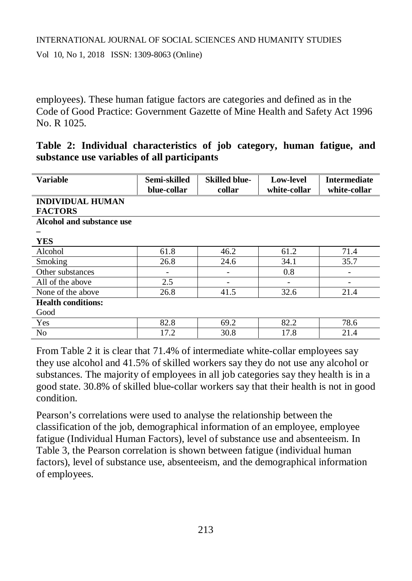Vol 10, No 1, 2018 ISSN: 1309-8063 (Online)

employees). These human fatigue factors are categories and defined as in the Code of Good Practice: Government Gazette of Mine Health and Safety Act 1996 No. R 1025.

|  | Table 2: Individual characteristics of job category, human fatigue, and |  |  |  |
|--|-------------------------------------------------------------------------|--|--|--|
|  | substance use variables of all participants                             |  |  |  |

| <b>Variable</b>           | Semi-skilled<br>blue-collar | <b>Skilled blue-</b><br>collar | <b>Low-level</b><br>white-collar | <b>Intermediate</b><br>white-collar |
|---------------------------|-----------------------------|--------------------------------|----------------------------------|-------------------------------------|
| <b>INDIVIDUAL HUMAN</b>   |                             |                                |                                  |                                     |
| <b>FACTORS</b>            |                             |                                |                                  |                                     |
| Alcohol and substance use |                             |                                |                                  |                                     |
|                           |                             |                                |                                  |                                     |
| <b>YES</b>                |                             |                                |                                  |                                     |
| Alcohol                   | 61.8                        | 46.2                           | 61.2                             | 71.4                                |
| Smoking                   | 26.8                        | 24.6                           | 34.1                             | 35.7                                |
| Other substances          | -                           | -                              | 0.8                              |                                     |
| All of the above          | 2.5                         |                                |                                  |                                     |
| None of the above         | 26.8                        | 41.5                           | 32.6                             | 21.4                                |
| <b>Health conditions:</b> |                             |                                |                                  |                                     |
| Good                      |                             |                                |                                  |                                     |
| Yes                       | 82.8                        | 69.2                           | 82.2                             | 78.6                                |
| N <sub>0</sub>            | 17.2                        | 30.8                           | 17.8                             | 21.4                                |

From Table 2 it is clear that 71.4% of intermediate white-collar employees say they use alcohol and 41.5% of skilled workers say they do not use any alcohol or substances. The majority of employees in all job categories say they health is in a good state. 30.8% of skilled blue-collar workers say that their health is not in good condition.

Pearson's correlations were used to analyse the relationship between the classification of the job, demographical information of an employee, employee fatigue (Individual Human Factors), level of substance use and absenteeism. In Table 3, the Pearson correlation is shown between fatigue (individual human factors), level of substance use, absenteeism, and the demographical information of employees.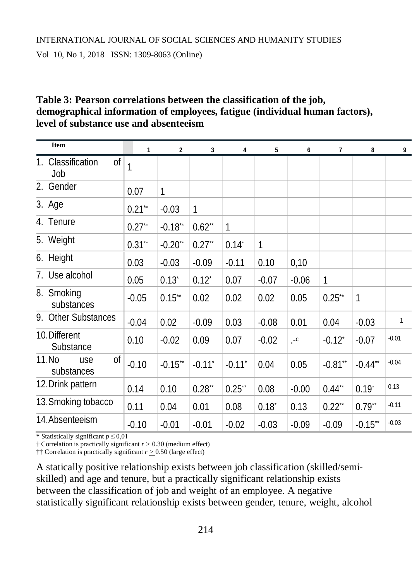Vol 10, No 1, 2018 ISSN: 1309-8063 (Online)

# **Table 3: Pearson correlations between the classification of the job, demographical information of employees, fatigue (individual human factors), level of substance use and absenteeism**

| <b>Item</b>                                                                | 1         | $\overline{2}$ | 3                    | 4                    | 5          | 6                    | $\overline{1}$       | 8          | 9            |
|----------------------------------------------------------------------------|-----------|----------------|----------------------|----------------------|------------|----------------------|----------------------|------------|--------------|
| 1. Classification<br>$\overline{\text{of}}$   $\overline{\text{1}}$<br>Job |           |                |                      |                      |            |                      |                      |            |              |
| Gender<br>2.                                                               | 0.07      | 1              |                      |                      |            |                      |                      |            |              |
| 3. Age                                                                     | $0.21**$  | $-0.03$        | 1                    |                      |            |                      |                      |            |              |
| 4. Tenure                                                                  | $0.27**$  | $-0.18$ **     | $0.62$ **            | 1                    |            |                      |                      |            |              |
| 5. Weight                                                                  | $0.31$ ** | $-0.20$ **     | $0.27**$             | $0.14*$              | 1          |                      |                      |            |              |
| 6. Height                                                                  | 0.03      | $-0.03$        | $-0.09$              | $-0.11$              | 0.10       | 0,10                 |                      |            |              |
| 7. Use alcohol                                                             | 0.05      | $0.13^{*}$     | $0.12^{*}$           | 0.07                 | $-0.07$    | $-0.06$              | $\mathbf{1}$         |            |              |
| 8. Smoking<br>substances                                                   | $-0.05$   | $0.15$ **      | 0.02                 | 0.02                 | 0.02       | 0.05                 | $0.25**$             | 1          |              |
| <b>Other Substances</b><br>9.                                              | $-0.04$   | 0.02           | $-0.09$              | 0.03                 | $-0.08$    | 0.01                 | 0.04                 | $-0.03$    | $\mathbf{1}$ |
| 10. Different<br>Substance                                                 | 0.10      | $-0.02$        | 0.09                 | 0.07                 | $-0.02$    | $\cdot$ <sup>c</sup> | $-0.12$ <sup>*</sup> | $-0.07$    | $-0.01$      |
| 11.No<br>Οf<br>use<br>substances                                           | $-0.10$   | $-0.15$ **     | $-0.11$ <sup>*</sup> | $-0.11$ <sup>*</sup> | 0.04       | 0.05                 | $-0.81**$            | $-0.44**$  | $-0.04$      |
| 12. Drink pattern                                                          | 0.14      | 0.10           | $0.28$ **            | $0.25$ **            | 0.08       | $-0.00$              | $0.44**$             | $0.19^{*}$ | 0.13         |
| 13. Smoking tobacco                                                        | 0.11      | 0.04           | 0.01                 | 0.08                 | $0.18^{*}$ | 0.13                 | $0.22**$             | $0.79**$   | $-0.11$      |
| 14.Absenteeism                                                             | $-0.10$   | $-0.01$        | $-0.01$              | $-0.02$              | $-0.03$    | $-0.09$              | $-0.09$              | $-0.15**$  | $-0.03$      |

\* Statistically significant  $p \le 0.01$ 

† Correlation is practically significant *r >* 0.30 (medium effect)

†† Correlation is practically significant  $r \geq 0.50$  (large effect)

A statically positive relationship exists between job classification (skilled/semiskilled) and age and tenure, but a practically significant relationship exists between the classification of job and weight of an employee. A negative statistically significant relationship exists between gender, tenure, weight, alcohol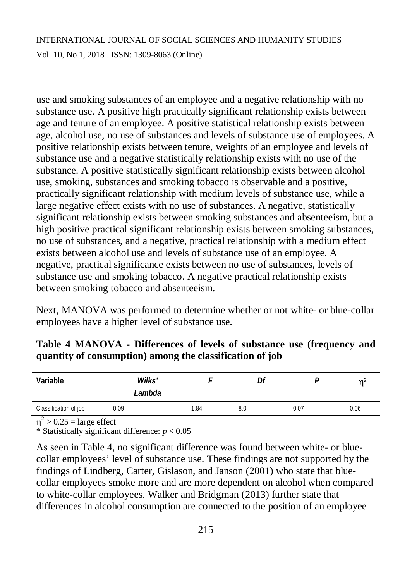use and smoking substances of an employee and a negative relationship with no substance use. A positive high practically significant relationship exists between age and tenure of an employee. A positive statistical relationship exists between age, alcohol use, no use of substances and levels of substance use of employees. A positive relationship exists between tenure, weights of an employee and levels of substance use and a negative statistically relationship exists with no use of the substance. A positive statistically significant relationship exists between alcohol use, smoking, substances and smoking tobacco is observable and a positive, practically significant relationship with medium levels of substance use, while a large negative effect exists with no use of substances. A negative, statistically significant relationship exists between smoking substances and absenteeism, but a high positive practical significant relationship exists between smoking substances, no use of substances, and a negative, practical relationship with a medium effect exists between alcohol use and levels of substance use of an employee. A negative, practical significance exists between no use of substances, levels of substance use and smoking tobacco. A negative practical relationship exists between smoking tobacco and absenteeism.

Next, MANOVA was performed to determine whether or not white- or blue-collar employees have a higher level of substance use.

| Variable              |      | Wilks'<br>Lambda | Df  |      | m≟   |
|-----------------------|------|------------------|-----|------|------|
| Classification of job | 0.09 | 1.84             | 8.0 | 0.07 | 0.06 |
| $\sim$                |      |                  |     |      |      |

**Table 4 MANOVA - Differences of levels of substance use (frequency and quantity of consumption) among the classification of job**

 $\eta^2$  > 0.25 = large effect

\* Statistically significant difference: *p* < 0.05

As seen in Table 4, no significant difference was found between white- or bluecollar employees' level of substance use. These findings are not supported by the findings of Lindberg, Carter, Gislason, and Janson (2001) who state that bluecollar employees smoke more and are more dependent on alcohol when compared to white-collar employees. Walker and Bridgman (2013) further state that differences in alcohol consumption are connected to the position of an employee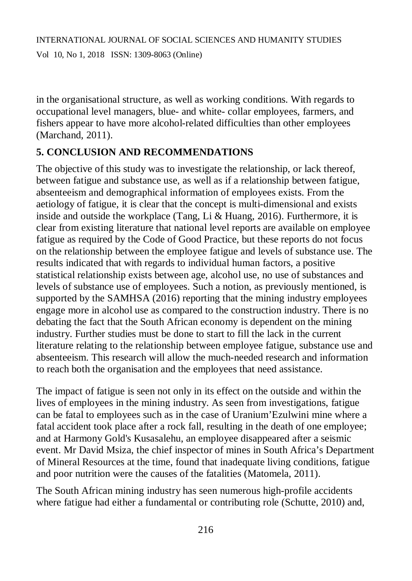in the organisational structure, as well as working conditions. With regards to occupational level managers, blue- and white- collar employees, farmers, and fishers appear to have more alcohol-related difficulties than other employees (Marchand, 2011).

# **5. CONCLUSION AND RECOMMENDATIONS**

The objective of this study was to investigate the relationship, or lack thereof, between fatigue and substance use, as well as if a relationship between fatigue, absenteeism and demographical information of employees exists. From the aetiology of fatigue, it is clear that the concept is multi-dimensional and exists inside and outside the workplace (Tang, Li & Huang, 2016). Furthermore, it is clear from existing literature that national level reports are available on employee fatigue as required by the Code of Good Practice, but these reports do not focus on the relationship between the employee fatigue and levels of substance use. The results indicated that with regards to individual human factors, a positive statistical relationship exists between age, alcohol use, no use of substances and levels of substance use of employees. Such a notion, as previously mentioned, is supported by the SAMHSA (2016) reporting that the mining industry employees engage more in alcohol use as compared to the construction industry. There is no debating the fact that the South African economy is dependent on the mining industry. Further studies must be done to start to fill the lack in the current literature relating to the relationship between employee fatigue, substance use and absenteeism. This research will allow the much-needed research and information to reach both the organisation and the employees that need assistance.

The impact of fatigue is seen not only in its effect on the outside and within the lives of employees in the mining industry. As seen from investigations, fatigue can be fatal to employees such as in the case of Uranium'Ezulwini mine where a fatal accident took place after a rock fall, resulting in the death of one employee; and at Harmony Gold's Kusasalehu, an employee disappeared after a seismic event. Mr David Msiza, the chief inspector of mines in South Africa's Department of Mineral Resources at the time, found that inadequate living conditions, fatigue and poor nutrition were the causes of the fatalities (Matomela, 2011).

The South African mining industry has seen numerous high-profile accidents where fatigue had either a fundamental or contributing role (Schutte, 2010) and,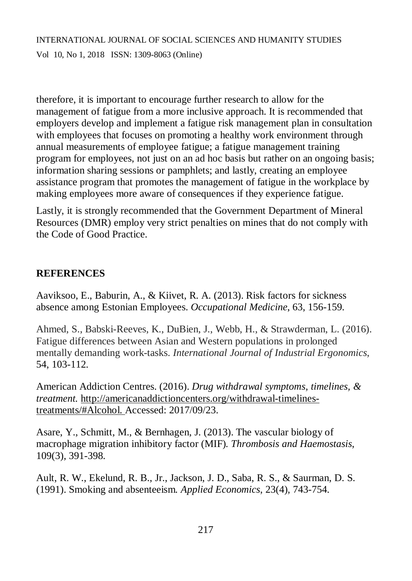therefore, it is important to encourage further research to allow for the management of fatigue from a more inclusive approach. It is recommended that employers develop and implement a fatigue risk management plan in consultation with employees that focuses on promoting a healthy work environment through annual measurements of employee fatigue; a fatigue management training program for employees, not just on an ad hoc basis but rather on an ongoing basis; information sharing sessions or pamphlets; and lastly, creating an employee assistance program that promotes the management of fatigue in the workplace by making employees more aware of consequences if they experience fatigue.

Lastly, it is strongly recommended that the Government Department of Mineral Resources (DMR) employ very strict penalties on mines that do not comply with the Code of Good Practice.

#### **REFERENCES**

Aaviksoo, E., Baburin, A., & Kiivet, R. A. (2013). Risk factors for sickness absence among Estonian Employees. *Occupational Medicine*, 63, 156-159.

Ahmed, S., Babski-Reeves, K., DuBien, J., Webb, H., & Strawderman, L. (2016). Fatigue differences between Asian and Western populations in prolonged mentally demanding work-tasks. *International Journal of Industrial Ergonomics*, 54, 103-112.

American Addiction Centres. (2016). *Drug withdrawal symptoms, timelines, & treatment.* [http://americanaddictioncenters.org/withdrawal-timelines](http://americanaddictioncenters.org/withdrawal-timelines-)treatments/#Alcohol. Accessed: 2017/09/23.

Asare, Y., Schmitt, M., & Bernhagen, J. (2013). The vascular biology of macrophage migration inhibitory factor (MIF)*. Thrombosis and Haemostasis*, 109(3), 391-398.

Ault, R. W., Ekelund, R. B., Jr., Jackson, J. D., Saba, R. S., & Saurman, D. S. (1991). Smoking and absenteeism*. Applied Economics*, 23(4), 743-754.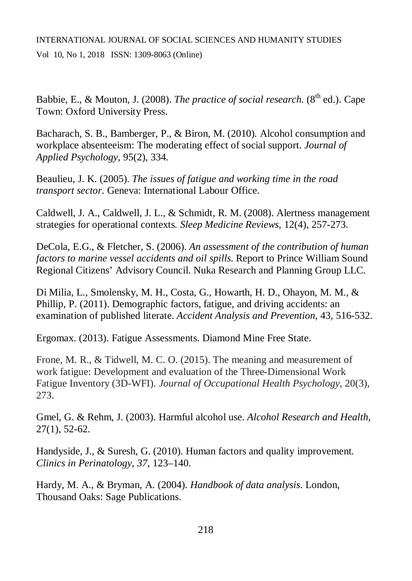Babbie, E., & Mouton, J. (2008). *The practice of social research*. (8<sup>th</sup> ed.). Cape Town: Oxford University Press.

Bacharach, S. B., Bamberger, P., & Biron, M. (2010)*.* Alcohol consumption and workplace absenteeism: The moderating effect of social support. *Journal of Applied Psychology*, 95(2), 334.

Beaulieu, J. K. (2005). *The issues of fatigue and working time in the road transport sector.* Geneva: International Labour Office.

Caldwell, J. A., Caldwell, J. L., & Schmidt, R. M. (2008). Alertness management strategies for operational contexts*. Sleep Medicine Reviews*, 12(4), 257-273.

DeCola, E.G., & Fletcher, S. (2006). *An assessment of the contribution of human factors to marine vessel accidents and oil spills.* Report to Prince William Sound Regional Citizens' Advisory Council. Nuka Research and Planning Group LLC.

Di Milia, L., Smolensky, M. H., Costa, G., Howarth, H. D., Ohayon, M. M., & Phillip, P. (2011). Demographic factors, fatigue, and driving accidents: an examination of published literate. *Accident Analysis and Prevention,* 43, 516-532.

Ergomax. (2013). Fatigue Assessments. Diamond Mine Free State.

Frone, M. R., & Tidwell, M. C. O. (2015). The meaning and measurement of work fatigue: Development and evaluation of the Three-Dimensional Work Fatigue Inventory (3D-WFI). *Journal of Occupational Health Psychology*, 20(3), 273.

Gmel, G. & Rehm, J. (2003). Harmful alcohol use. *Alcohol Research and Health*, 27(1), 52-62.

Handyside, J., & Suresh, G. (2010). Human factors and quality improvement*. Clinics in Perinatology*, *37*, 123–140.

Hardy, M. A., & Bryman, A. (2004). *Handbook of data analysis*. London, Thousand Oaks: Sage Publications.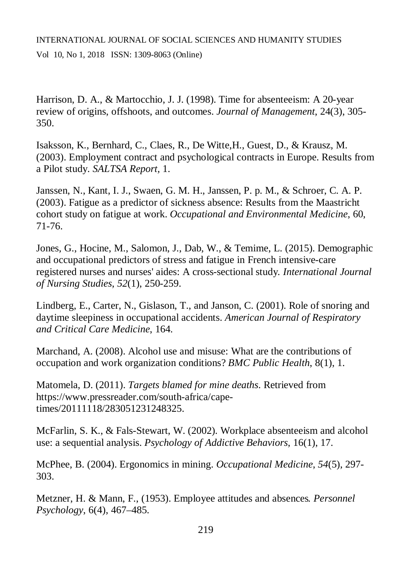Harrison, D. A., & Martocchio, J. J. (1998). Time for absenteeism: A 20-year review of origins, offshoots, and outcomes. *Journal of Management*, 24(3), 305- 350.

Isaksson, K., Bernhard, C., Claes, R., De Witte,H., Guest, D., & Krausz, M. (2003). Employment contract and psychological contracts in Europe. Results from a Pilot study. *SALTSA Report,* 1.

Janssen, N., Kant, I. J., Swaen, G. M. H., Janssen, P. p. M., & Schroer, C. A. P. (2003). Fatigue as a predictor of sickness absence: Results from the Maastricht cohort study on fatigue at work. *Occupational and Environmental Medicine*, 60, 71-76.

Jones, G., Hocine, M., Salomon, J., Dab, W., & Temime, L. (2015). Demographic and occupational predictors of stress and fatigue in French intensive-care registered nurses and nurses' aides: A cross-sectional study*. International Journal of Nursing Studies*, *52*(1), 250-259.

Lindberg, E., Carter, N., Gislason, T., and Janson, C. (2001). Role of snoring and daytime sleepiness in occupational accidents. *American Journal of Respiratory and Critical Care Medicine*, 164.

Marchand, A. (2008). Alcohol use and misuse: What are the contributions of occupation and work organization conditions? *BMC Public Health*, 8(1), 1.

Matomela, D. (2011). *Targets blamed for mine deaths*. Retrieved from [https://www.pressreader.com/south-africa/cape](https://www.pressreader.com/south-africa/cape-)times/20111118/283051231248325.

McFarlin, S. K., & Fals-Stewart, W. (2002). Workplace absenteeism and alcohol use: a sequential analysis. *Psychology of Addictive Behaviors*, 16(1), 17.

McPhee, B. (2004). Ergonomics in mining. *Occupational Medicine*, *54*(5), 297- 303.

Metzner, H. & Mann, F., (1953). Employee attitudes and absences*. Personnel Psychology*, 6(4), 467–485.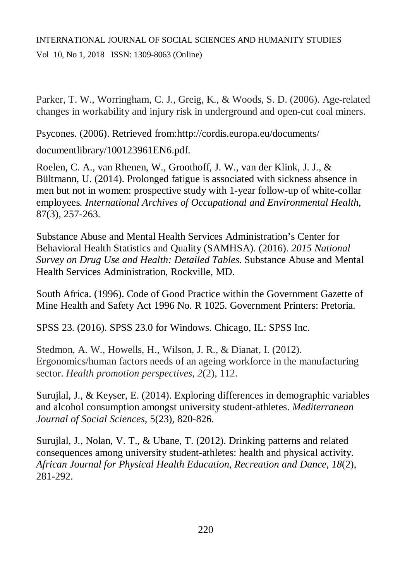Vol 10, No 1, 2018 ISSN: 1309-8063 (Online)

Parker, T. W., Worringham, C. J., Greig, K., & Woods, S. D. (2006). Age-related changes in workability and injury risk in underground and open-cut coal miners.

Psycones. (2006). Retrieved from[:http://cordis.europa.eu/documents/](http://cordis.europa.eu/documents/)

documentlibrary/100123961EN6.pdf.

Roelen, C. A., van Rhenen, W., Groothoff, J. W., van der Klink, J. J., & Bültmann, U. (2014). Prolonged fatigue is associated with sickness absence in men but not in women: prospective study with 1-year follow-up of white-collar employees*. International Archives of Occupational and Environmental Health*, 87(3), 257-263.

Substance Abuse and Mental Health Services Administration's Center for Behavioral Health Statistics and Quality (SAMHSA). (2016). *2015 National Survey on Drug Use and Health: Detailed Tables.* Substance Abuse and Mental Health Services Administration, Rockville, MD.

South Africa. (1996). Code of Good Practice within the Government Gazette of Mine Health and Safety Act 1996 No. R 1025. Government Printers: Pretoria.

SPSS 23. (2016). SPSS 23.0 for Windows. Chicago, IL: SPSS Inc.

Stedmon, A. W., Howells, H., Wilson, J. R., & Dianat, I. (2012). Ergonomics/human factors needs of an ageing workforce in the manufacturing sector. *Health promotion perspectives*, *2*(2), 112.

Surujlal, J., & Keyser, E. (2014). Exploring differences in demographic variables and alcohol consumption amongst university student-athletes. *Mediterranean Journal of Social Sciences*, 5(23), 820-826.

Surujlal, J., Nolan, V. T., & Ubane, T. (2012). Drinking patterns and related consequences among university student-athletes: health and physical activity. *African Journal for Physical Health Education, Recreation and Dance*, *18*(2), 281-292.